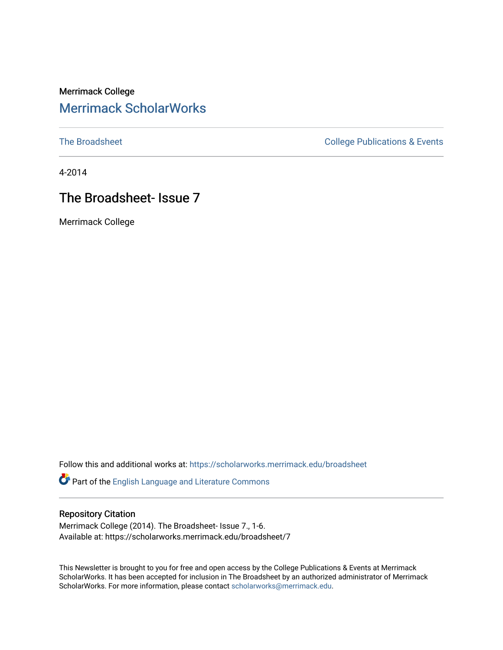# Merrimack College [Merrimack ScholarWorks](https://scholarworks.merrimack.edu/)

[The Broadsheet](https://scholarworks.merrimack.edu/broadsheet) **College Publications & Events** 

4-2014

# The Broadsheet- Issue 7

Merrimack College

Follow this and additional works at: [https://scholarworks.merrimack.edu/broadsheet](https://scholarworks.merrimack.edu/broadsheet?utm_source=scholarworks.merrimack.edu%2Fbroadsheet%2F7&utm_medium=PDF&utm_campaign=PDFCoverPages) 

Part of the [English Language and Literature Commons](http://network.bepress.com/hgg/discipline/455?utm_source=scholarworks.merrimack.edu%2Fbroadsheet%2F7&utm_medium=PDF&utm_campaign=PDFCoverPages)

#### Repository Citation

Merrimack College (2014). The Broadsheet- Issue 7., 1-6. Available at: https://scholarworks.merrimack.edu/broadsheet/7

This Newsletter is brought to you for free and open access by the College Publications & Events at Merrimack ScholarWorks. It has been accepted for inclusion in The Broadsheet by an authorized administrator of Merrimack ScholarWorks. For more information, please contact [scholarworks@merrimack.edu.](mailto:scholarworks@merrimack.edu)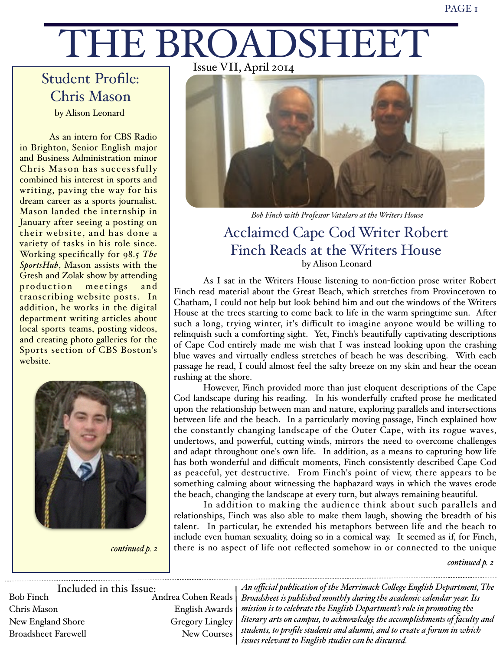# THE BROADSHEET

# Student Profile: Chris Mason by Alison Leonard

As an intern for CBS Radio in Brighton, Senior English major and Business Administration minor Chris Mason has successfully combined his interest in sports and writing, paving the way for his dream career as a sports journalist. Mason landed the internship in January after seeing a posting on their website, and has done a variety of tasks in his role since. Working specifically for 98.5 *The SportsHub*, Mason assists with the Gresh and Zolak show by attending production meetings and transcribing website posts. In addition, he works in the digital department writing articles about local sports teams, posting videos, and creating photo galleries for the Sports section of CBS Boston's website.



*continued p. 2*

Issue VII, April 2014



*Bob Finch with Professor Vatalaro at the Writers House*

# Acclaimed Cape Cod Writer Robert Finch Reads at the Writers House by Alison Leonard

As I sat in the Writers House listening to non-fiction prose writer Robert Finch read material about the Great Beach, which stretches from Provincetown to Chatham, I could not help but look behind him and out the windows of the Writers House at the trees starting to come back to life in the warm springtime sun. After such a long, trying winter, it's difficult to imagine anyone would be willing to relinquish such a comforting sight. Yet, Finch's beautifully captivating descriptions of Cape Cod entirely made me wish that I was instead looking upon the crashing blue waves and virtually endless stretches of beach he was describing. With each passage he read, I could almost feel the salty breeze on my skin and hear the ocean rushing at the shore.

However, Finch provided more than just eloquent descriptions of the Cape Cod landscape during his reading. In his wonderfully crafted prose he meditated upon the relationship between man and nature, exploring parallels and intersections between life and the beach. In a particularly moving passage, Finch explained how the constantly changing landscape of the Outer Cape, with its rogue waves, undertows, and powerful, cutting winds, mirrors the need to overcome challenges and adapt throughout one's own life. In addition, as a means to capturing how life has both wonderful and difficult moments, Finch consistently described Cape Cod as peaceful, yet destructive. From Finch's point of view, there appears to be something calming about witnessing the haphazard ways in which the waves erode the beach, changing the landscape at every turn, but always remaining beautiful.

In addition to making the audience think about such parallels and relationships, Finch was also able to make them laugh, showing the breadth of his talent. In particular, he extended his metaphors between life and the beach to include even human sexuality, doing so in a comical way. It seemed as if, for Finch, there is no aspect of life not reflected somehow in or connected to the unique

*continued p. 2*

Included in this Issue: Bob Finch Chris Mason New England Shore Broadsheet Farewell Andrea Cohen Reads English Awards Gregory Lingley New Courses

*An official publication of the Merrimack Colege English Department, The Broadsheet is published monthly during the academic calendar year. Its mission is to celebrate the English Department's role in promoting the literary arts on campus, to acknowledge the accomplishments of faculty and students, to profile students and alumni, and to create a forum in which issues relevant to English studies can be discussed.*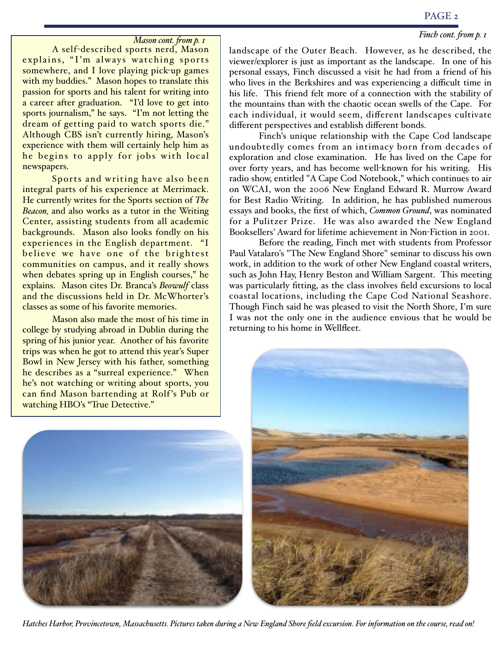#### PAGE 2

#### *Finch cont. fom p. 1*

#### *Mason cont. fom p. 1*

A self-described sports nerd, Mason explains, "I'm always watching sports somewhere, and I love playing pick-up games with my buddies." Mason hopes to translate this passion for sports and his talent for writing into a career after graduation. "I'd love to get into sports journalism," he says. "I'm not letting the dream of getting paid to watch sports die." Although CBS isn't currently hiring, Mason's experience with them will certainly help him as he begins to apply for jobs with local newspapers.

Sports and writing have also been integral parts of his experience at Merrimack. He currently writes for the Sports section of *The Beacon,* and also works as a tutor in the Writing Center, assisting students from all academic backgrounds. Mason also looks fondly on his experiences in the English department. "I believe we have one of the brightest communities on campus, and it really shows when debates spring up in English courses," he explains. Mason cites Dr. Branca's *Beowulf* class and the discussions held in Dr. McWhorter's classes as some of his favorite memories.

Mason also made the most of his time in college by studying abroad in Dublin during the spring of his junior year. Another of his favorite trips was when he got to attend this year's Super Bowl in New Jersey with his father, something he describes as a "surreal experience." When he's not watching or writing about sports, you can find Mason bartending at Rolf 's Pub or watching HBO's "True Detective."



landscape of the Outer Beach. However, as he described, the viewer/explorer is just as important as the landscape. In one of his personal essays, Finch discussed a visit he had from a friend of his who lives in the Berkshires and was experiencing a difficult time in his life. This friend felt more of a connection with the stability of the mountains than with the chaotic ocean swells of the Cape. For each individual, it would seem, different landscapes cultivate different perspectives and establish different bonds.

Finch's unique relationship with the Cape Cod landscape undoubtedly comes from an intimacy born from decades of exploration and close examination. He has lived on the Cape for over forty years, and has become well-known for his writing. His radio show, entitled "A Cape Cod Notebook," which continues to air on WCAI, won the 2006 New England Edward R. Murrow Award for Best Radio Writing. In addition, he has published numerous essays and books, the first of which, *Common Ground*, was nominated for a Pulitzer Prize. He was also awarded the New England Booksellers' Award for lifetime achievement in Non-Fiction in 2001.

Before the reading, Finch met with students from Professor Paul Vatalaro's "The New England Shore" seminar to discuss his own work, in addition to the work of other New England coastal writers, such as John Hay, Henry Beston and William Sargent. This meeting was particularly fitting, as the class involves field excursions to local coastal locations, including the Cape Cod National Seashore. Though Finch said he was pleased to visit the North Shore, I'm sure I was not the only one in the audience envious that he would be returning to his home in Wellfleet.



*Hatches Harbor, Provincetown, Massachusetts. Pictures taken during a New England Shore field excursion. For information on the course, read on!*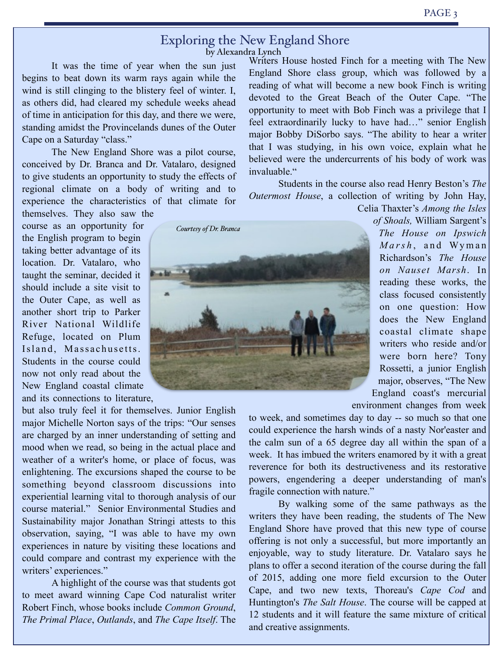#### Exploring the New England Shore by Alexandra Lynch

 It was the time of year when the sun just begins to beat down its warm rays again while the wind is still clinging to the blistery feel of winter. I, as others did, had cleared my schedule weeks ahead of time in anticipation for this day, and there we were, standing amidst the Provincelands dunes of the Outer Cape on a Saturday "class."

 The New England Shore was a pilot course, conceived by Dr. Branca and Dr. Vatalaro, designed to give students an opportunity to study the effects of regional climate on a body of writing and to experience the characteristics of that climate for themselves. They also saw the

course as an opportunity for the English program to begin taking better advantage of its location. Dr. Vatalaro, who taught the seminar, decided it should include a site visit to the Outer Cape, as well as another short trip to Parker River National Wildlife Refuge, located on Plum Island, Massachusetts. Students in the course could now not only read about the New England coastal climate and its connections to literature,

but also truly feel it for themselves. Junior English major Michelle Norton says of the trips: "Our senses are charged by an inner understanding of setting and mood when we read, so being in the actual place and weather of a writer's home, or place of focus, was enlightening. The excursions shaped the course to be something beyond classroom discussions into experiential learning vital to thorough analysis of our course material." Senior Environmental Studies and Sustainability major Jonathan Stringi attests to this observation, saying, "I was able to have my own experiences in nature by visiting these locations and could compare and contrast my experience with the writers' experiences."

A highlight of the course was that students got to meet award winning Cape Cod naturalist writer Robert Finch, whose books include *Common Ground*, *The Primal Place*, *Outlands*, and *The Cape Itself*. The

Writers House hosted Finch for a meeting with The New England Shore class group, which was followed by a reading of what will become a new book Finch is writing devoted to the Great Beach of the Outer Cape. "The opportunity to meet with Bob Finch was a privilege that I feel extraordinarily lucky to have had…" senior English major Bobby DiSorbo says. "The ability to hear a writer that I was studying, in his own voice, explain what he believed were the undercurrents of his body of work was invaluable."

Students in the course also read Henry Beston's *The Outermost House*, a collection of writing by John Hay,

Celia Thaxter's *Among the Isles* 

*of Shoals,* William Sargent's *The House on Ipswich Marsh*, and Wyman Richardson's *The House on Nauset Marsh*. In reading these works, the class focused consistently on one question: How does the New England coastal climate shape writers who reside and/or were born here? Tony Rossetti, a junior English major, observes, "The New England coast's mercurial

environment changes from week

to week, and sometimes day to day -- so much so that one could experience the harsh winds of a nasty Nor'easter and the calm sun of a 65 degree day all within the span of a week. It has imbued the writers enamored by it with a great reverence for both its destructiveness and its restorative powers, engendering a deeper understanding of man's fragile connection with nature."

By walking some of the same pathways as the writers they have been reading, the students of The New England Shore have proved that this new type of course offering is not only a successful, but more importantly an enjoyable, way to study literature. Dr. Vatalaro says he plans to offer a second iteration of the course during the fall of 2015, adding one more field excursion to the Outer Cape, and two new texts, Thoreau's *Cape Cod* and Huntington's *The Salt House*. The course will be capped at 12 students and it will feature the same mixture of critical and creative assignments.

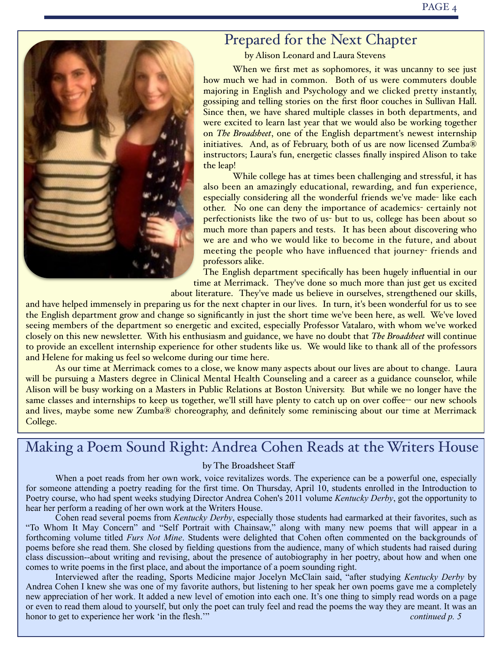

# Prepared for the Next Chapter

by Alison Leonard and Laura Stevens

When we first met as sophomores, it was uncanny to see just how much we had in common. Both of us were commuters double majoring in English and Psychology and we clicked pretty instantly, gossiping and telling stories on the first floor couches in Sullivan Hall. Since then, we have shared multiple classes in both departments, and were excited to learn last year that we would also be working together on *The Broadsheet*, one of the English department's newest internship initiatives. And, as of February, both of us are now licensed Zumba® instructors; Laura's fun, energetic classes finally inspired Alison to take the leap!

While college has at times been challenging and stressful, it has also been an amazingly educational, rewarding, and fun experience, especially considering all the wonderful friends we've made- like each other. No one can deny the importance of academics- certainly not perfectionists like the two of us- but to us, college has been about so much more than papers and tests. It has been about discovering who we are and who we would like to become in the future, and about meeting the people who have influenced that journey- friends and professors alike.

The English department specifically has been hugely influential in our time at Merrimack. They've done so much more than just get us excited about literature. They've made us believe in ourselves, strengthened our skills,

and have helped immensely in preparing us for the next chapter in our lives. In turn, it's been wonderful for us to see the English department grow and change so significantly in just the short time we've been here, as well. We've loved seeing members of the department so energetic and excited, especially Professor Vatalaro, with whom we've worked closely on this new newsletter. With his enthusiasm and guidance, we have no doubt that *The Broadsheet* will continue to provide an excellent internship experience for other students like us. We would like to thank all of the professors and Helene for making us feel so welcome during our time here.

As our time at Merrimack comes to a close, we know many aspects about our lives are about to change. Laura will be pursuing a Masters degree in Clinical Mental Health Counseling and a career as a guidance counselor, while Alison will be busy working on a Masters in Public Relations at Boston University. But while we no longer have the same classes and internships to keep us together, we'll still have plenty to catch up on over coffee-- our new schools and lives, maybe some new Zumba® choreography, and definitely some reminiscing about our time at Merrimack College.

# Making a Poem Sound Right: Andrea Cohen Reads at the Writers House

#### by The Broadsheet Staff

When a poet reads from her own work, voice revitalizes words. The experience can be a powerful one, especially for someone attending a poetry reading for the first time. On Thursday, April 10, students enrolled in the Introduction to Poetry course, who had spent weeks studying Director Andrea Cohen's 2011 volume *Kentucky Derby*, got the opportunity to hear her perform a reading of her own work at the Writers House.

 Cohen read several poems from *Kentucky Derby*, especially those students had earmarked at their favorites, such as "To Whom It May Concern" and "Self Portrait with Chainsaw," along with many new poems that will appear in a forthcoming volume titled *Furs Not Mine*. Students were delighted that Cohen often commented on the backgrounds of poems before she read them. She closed by fielding questions from the audience, many of which students had raised during class discussion--about writing and revising, about the presence of autobiography in her poetry, about how and when one comes to write poems in the first place, and about the importance of a poem sounding right.

 Interviewed after the reading, Sports Medicine major Jocelyn McClain said, "after studying *Kentucky Derby* by Andrea Cohen I knew she was one of my favorite authors, but listening to her speak her own poems gave me a completely new appreciation of her work. It added a new level of emotion into each one. It's one thing to simply read words on a page or even to read them aloud to yourself, but only the poet can truly feel and read the poems the way they are meant. It was an honor to get to experience her work 'in the flesh.'" *continued p. 5*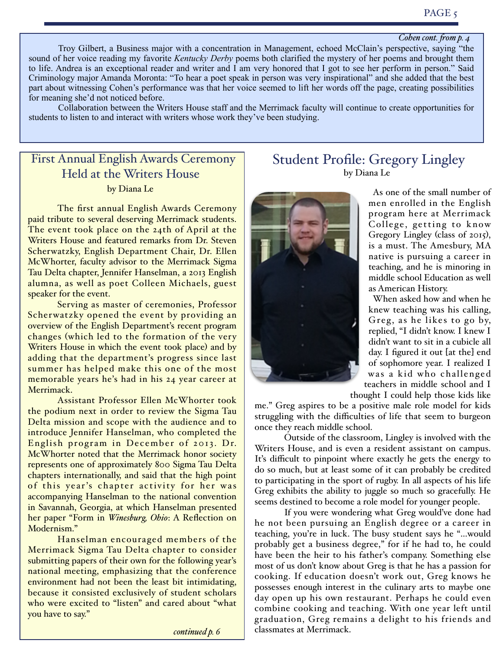#### *Cohen cont. fom p. 4*

 Troy Gilbert, a Business major with a concentration in Management, echoed McClain's perspective, saying "the sound of her voice reading my favorite *Kentucky Derby* poems both clarified the mystery of her poems and brought them to life. Andrea is an exceptional reader and writer and I am very honored that I got to see her perform in person." Said Criminology major Amanda Moronta: "To hear a poet speak in person was very inspirational" and she added that the best part about witnessing Cohen's performance was that her voice seemed to lift her words off the page, creating possibilities for meaning she'd not noticed before.

Collaboration between the Writers House staff and the Merrimack faculty will continue to create opportunities for students to listen to and interact with writers whose work they've been studying.

### First Annual English Awards Ceremony Held at the Writers House by Diana Le

The first annual English Awards Ceremony paid tribute to several deserving Merrimack students. The event took place on the 24th of April at the Writers House and featured remarks from Dr. Steven Scherwatzky, English Department Chair, Dr. Ellen McWhorter, faculty advisor to the Merrimack Sigma Tau Delta chapter, Jennifer Hanselman, a 2013 English alumna, as well as poet Colleen Michaels, guest speaker for the event.

Serving as master of ceremonies, Professor Scherwatzky opened the event by providing an overview of the English Department's recent program changes (which led to the formation of the very Writers House in which the event took place) and by adding that the department's progress since last summer has helped make this one of the most memorable years he's had in his 24 year career at Merrimack.

Assistant Professor Ellen McWhorter took the podium next in order to review the Sigma Tau Delta mission and scope with the audience and to introduce Jennifer Hanselman, who completed the English program in December of 2013. Dr. McWhorter noted that the Merrimack honor society represents one of approximately 800 Sigma Tau Delta chapters internationally, and said that the high point of this year's chapter activity for her was accompanying Hanselman to the national convention in Savannah, Georgia, at which Hanselman presented her paper "Form in *Winesburg, Ohio*: A Reflection on Modernism."

Hanselman encouraged members of the Merrimack Sigma Tau Delta chapter to consider submitting papers of their own for the following year's national meeting, emphasizing that the conference environment had not been the least bit intimidating, because it consisted exclusively of student scholars who were excited to "listen" and cared about "what you have to say."

*continued p. 6*

#### Student Profile: Gregory Lingley by Diana Le



once they reach middle school.

As one of the small number of men enrolled in the English program here at Merrimack College, getting to know Gregory Lingley (class of 2015), is a must. The Amesbury, MA native is pursuing a career in teaching, and he is minoring in middle school Education as well as American History.

When asked how and when he knew teaching was his calling, Greg, as he likes to go by, replied, "I didn't know. I knew I didn't want to sit in a cubicle all day. I figured it out [at the] end of sophomore year. I realized I was a kid who challenged teachers in middle school and I thought I could help those kids like

me." Greg aspires to be a positive male role model for kids struggling with the difficulties of life that seem to burgeon

Outside of the classroom, Lingley is involved with the Writers House, and is even a resident assistant on campus. It's difficult to pinpoint where exactly he gets the energy to do so much, but at least some of it can probably be credited to participating in the sport of rugby. In all aspects of his life Greg exhibits the ability to juggle so much so gracefully. He seems destined to become a role model for younger people.

If you were wondering what Greg would've done had he not been pursuing an English degree or a career in teaching, you're in luck. The busy student says he "...would probably get a business degree," for if he had to, he could have been the heir to his father's company. Something else most of us don't know about Greg is that he has a passion for cooking. If education doesn't work out, Greg knows he possesses enough interest in the culinary arts to maybe one day open up his own restaurant. Perhaps he could even combine cooking and teaching. With one year left until graduation, Greg remains a delight to his friends and classmates at Merrimack.